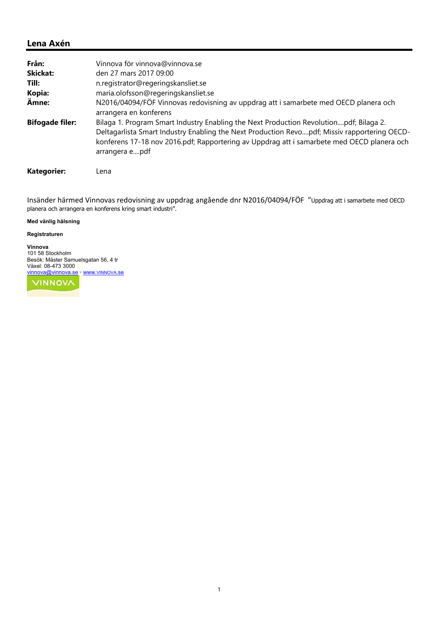#### **Lena Axén**

| Från:                  | Vinnova för vinnova@vinnova.se                                                                                                                                                                                                                                                                         |
|------------------------|--------------------------------------------------------------------------------------------------------------------------------------------------------------------------------------------------------------------------------------------------------------------------------------------------------|
| <b>Skickat:</b>        | den 27 mars 2017 09:00                                                                                                                                                                                                                                                                                 |
| Till:                  | n.registrator@regeringskansliet.se                                                                                                                                                                                                                                                                     |
| Kopia:                 | maria.olofsson@regeringskansliet.se                                                                                                                                                                                                                                                                    |
| Ämne:                  | N2016/04094/FÖF Vinnovas redovisning av uppdrag att i samarbete med OECD planera och<br>arrangera en konferens                                                                                                                                                                                         |
| <b>Bifogade filer:</b> | Bilaga 1. Program Smart Industry Enabling the Next Production Revolutionpdf; Bilaga 2.<br>Deltagarlista Smart Industry Enabling the Next Production Revopdf; Missiv rapportering OECD-<br>konferens 17-18 nov 2016.pdf; Rapportering av Uppdrag att i samarbete med OECD planera och<br>arrangera epdf |

**Kategorier:** Lena

Insänder härmed Vinnovas redovisning av uppdrag angående dnr N2016/04094/FÖF "Uppdrag att i samarbete med OECD planera och arrangera en konferens kring smart industri".

#### **Med vänlig hälsning**

#### **Registraturen**

**Vinnova** 101 58 Stockholm Besök: Mäster Samuelsgatan 56, 4 tr Växel: 08-473 3000 vinnova@vinnova.se • www.VINNOVA.se

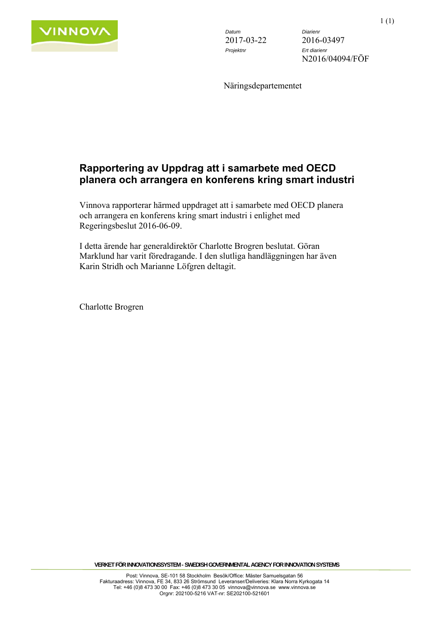

*Datum Diarienr*  2017-03-22 2016-03497 *Projektnr Ert diarienr* 

N2016/04094/FÖF

Näringsdepartementet

### **Rapportering av Uppdrag att i samarbete med OECD planera och arrangera en konferens kring smart industri**

Vinnova rapporterar härmed uppdraget att i samarbete med OECD planera och arrangera en konferens kring smart industri i enlighet med Regeringsbeslut 2016-06-09.

I detta ärende har generaldirektör Charlotte Brogren beslutat. Göran Marklund har varit föredragande. I den slutliga handläggningen har även Karin Stridh och Marianne Löfgren deltagit.

Charlotte Brogren

**VERKET FÖR INNOVATIONSSYSTEM - SWEDISH GOVERNMENTAL AGENCY FOR INNOVATION SYSTEMS**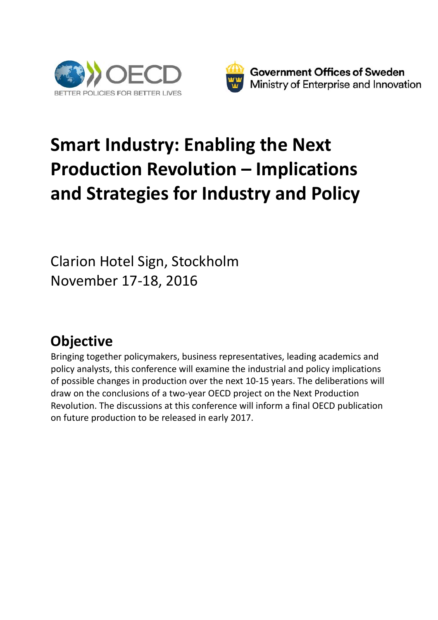



# **Smart Industry: Enabling the Next Production Revolution – Implications and Strategies for Industry and Policy**

Clarion Hotel Sign, Stockholm November 17‐18, 2016

## **Objective**

Bringing together policymakers, business representatives, leading academics and policy analysts, this conference will examine the industrial and policy implications of possible changes in production over the next 10‐15 years. The deliberations will draw on the conclusions of a two‐year OECD project on the Next Production Revolution. The discussions at this conference will inform a final OECD publication on future production to be released in early 2017.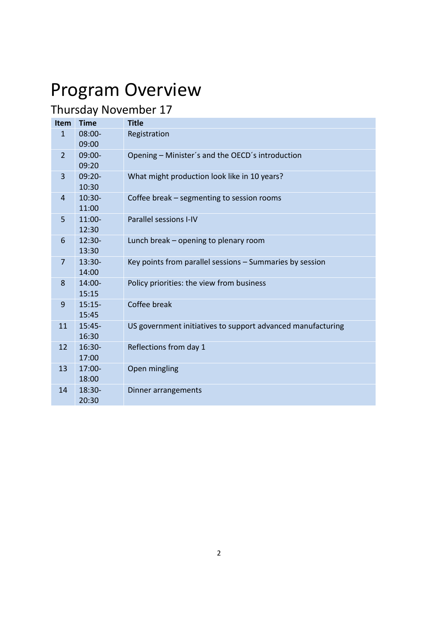# Program Overview

## Thursday November 17

| Item           | <b>Time</b>        | <b>Title</b>                                                |
|----------------|--------------------|-------------------------------------------------------------|
| $\mathbf{1}$   | $08:00 -$<br>09:00 | Registration                                                |
| $\overline{2}$ | $09:00-$<br>09:20  | Opening - Minister's and the OECD's introduction            |
| 3              | $09:20 -$<br>10:30 | What might production look like in 10 years?                |
| $\overline{4}$ | $10:30-$<br>11:00  | Coffee break – segmenting to session rooms                  |
| 5              | $11:00-$<br>12:30  | <b>Parallel sessions I-IV</b>                               |
| 6              | $12:30-$<br>13:30  | Lunch break – opening to plenary room                       |
| 7              | 13:30-<br>14:00    | Key points from parallel sessions - Summaries by session    |
| 8              | 14:00-<br>15:15    | Policy priorities: the view from business                   |
| 9              | $15:15-$<br>15:45  | Coffee break                                                |
| 11             | $15:45-$<br>16:30  | US government initiatives to support advanced manufacturing |
| 12             | $16:30-$<br>17:00  | Reflections from day 1                                      |
| 13             | 17:00-<br>18:00    | Open mingling                                               |
| 14             | 18:30-<br>20:30    | Dinner arrangements                                         |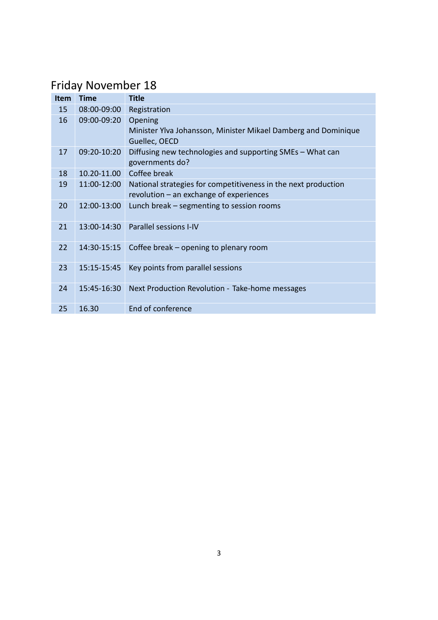### Friday November 18

| <b>Item</b> | <b>Time</b> | <b>Title</b>                                                                                                |
|-------------|-------------|-------------------------------------------------------------------------------------------------------------|
| 15          | 08:00-09:00 | Registration                                                                                                |
| 16          | 09:00-09:20 | Opening<br>Minister Ylva Johansson, Minister Mikael Damberg and Dominique<br>Guellec, OECD                  |
| 17          | 09:20-10:20 | Diffusing new technologies and supporting SMEs - What can<br>governments do?                                |
| 18          | 10.20-11.00 | Coffee break                                                                                                |
| 19          | 11:00-12:00 | National strategies for competitiveness in the next production<br>revolution $-$ an exchange of experiences |
| 20          | 12:00-13:00 | Lunch break – segmenting to session rooms                                                                   |
| 21          | 13:00-14:30 | Parallel sessions I-IV                                                                                      |
| 22          | 14:30-15:15 | Coffee break – opening to plenary room                                                                      |
| 23          | 15:15-15:45 | Key points from parallel sessions                                                                           |
| 24          | 15:45-16:30 | Next Production Revolution - Take-home messages                                                             |
| 25          | 16.30       | End of conference                                                                                           |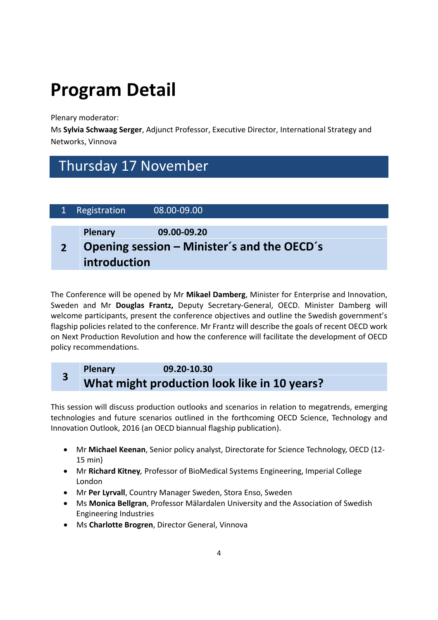# **Program Detail**

Plenary moderator:

Ms **Sylvia Schwaag Serger**, Adjunct Professor, Executive Director, International Strategy and Networks, Vinnova

### Thursday 17 November

| Registration            | 08.00-09.00                                                |
|-------------------------|------------------------------------------------------------|
| Plenary<br>introduction | 09.00-09.20<br>Opening session – Minister's and the OECD's |

The Conference will be opened by Mr **Mikael Damberg**, Minister for Enterprise and Innovation, Sweden and Mr **Douglas Frantz,** Deputy Secretary‐General, OECD. Minister Damberg will welcome participants, present the conference objectives and outline the Swedish government's flagship policies related to the conference. Mr Frantz will describe the goals of recent OECD work on Next Production Revolution and how the conference will facilitate the development of OECD policy recommendations.

### **<sup>3</sup> Plenary 09.20‐10.30 What might production look like in 10 years?**

This session will discuss production outlooks and scenarios in relation to megatrends, emerging technologies and future scenarios outlined in the forthcoming OECD Science, Technology and Innovation Outlook, 2016 (an OECD biannual flagship publication).

- Mr **Michael Keenan**, Senior policy analyst, Directorate for Science Technology, OECD (12‐ 15 min)
- Mr **Richard Kitney***,* Professor of BioMedical Systems Engineering, Imperial College London
- Mr **Per Lyrvall**, Country Manager Sweden, Stora Enso, Sweden
- Ms **Monica Bellgran**, Professor Mälardalen University and the Association of Swedish Engineering Industries
- Ms **Charlotte Brogren**, Director General, Vinnova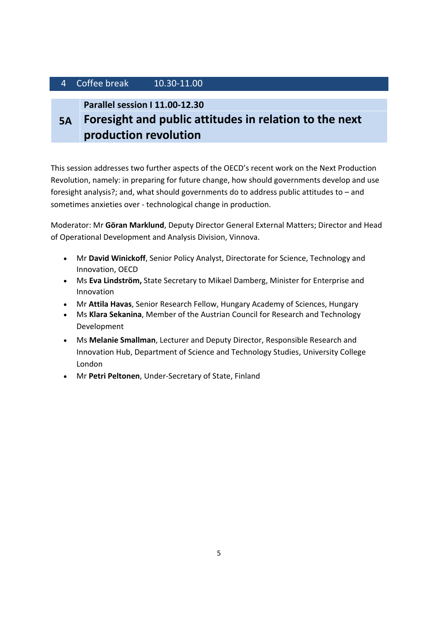#### 4 Coffee break 10.30‐11.00

**Parallel session I 11.00‐12.30**

**5A Foresight and public attitudes in relation to the next production revolution**

This session addresses two further aspects of the OECD's recent work on the Next Production Revolution, namely: in preparing for future change, how should governments develop and use foresight analysis?; and, what should governments do to address public attitudes to – and sometimes anxieties over ‐ technological change in production.

Moderator: Mr **Göran Marklund**, Deputy Director General External Matters; Director and Head of Operational Development and Analysis Division, Vinnova.

- Mr **David Winickoff**, Senior Policy Analyst, Directorate for Science, Technology and Innovation, OECD
- Ms **Eva Lindström,** State Secretary to Mikael Damberg, Minister for Enterprise and Innovation
- Mr **Attila Havas**, Senior Research Fellow, Hungary Academy of Sciences, Hungary
- Ms **Klara Sekanina**, Member of the Austrian Council for Research and Technology Development
- Ms **Melanie Smallman**, Lecturer and Deputy Director, Responsible Research and Innovation Hub, Department of Science and Technology Studies, University College London
- Mr **Petri Peltonen**, Under‐Secretary of State, Finland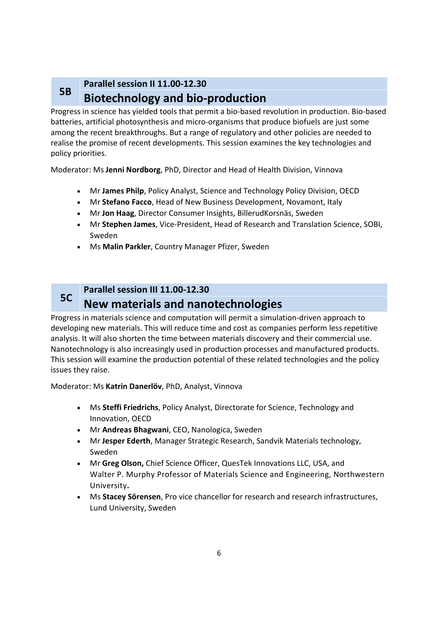#### **5B Parallel session II 11.00‐12.30 Biotechnology and bio‐production**

Progress in science has yielded tools that permit a bio‐based revolution in production. Bio‐based batteries, artificial photosynthesis and micro‐organisms that produce biofuels are just some among the recent breakthroughs. But a range of regulatory and other policies are needed to realise the promise of recent developments. This session examines the key technologies and policy priorities.

Moderator: Ms **Jenni Nordborg**, PhD, Director and Head of Health Division, Vinnova

- Mr **James Philp**, Policy Analyst, Science and Technology Policy Division, OECD
- Mr **Stefano Facco**, Head of New Business Development, Novamont, Italy
- Mr **Jon Haag**, Director Consumer Insights, BillerudKorsnäs, Sweden
- Mr **Stephen James**, Vice‐President, Head of Research and Translation Science, SOBI, Sweden
- Ms **Malin Parkler**, Country Manager Pfizer, Sweden

#### **5C Parallel session III 11.00‐12.30 New materials and nanotechnologies**

Progress in materials science and computation will permit a simulation‐driven approach to developing new materials. This will reduce time and cost as companies perform less repetitive analysis. It will also shorten the time between materials discovery and their commercial use. Nanotechnology is also increasingly used in production processes and manufactured products. This session will examine the production potential of these related technologies and the policy issues they raise.

Moderator: Ms **Katrin Danerlöv**, PhD, Analyst, Vinnova

- Ms **Steffi Friedrichs**, Policy Analyst, Directorate for Science, Technology and Innovation, OECD
- Mr **Andreas Bhagwani**, CEO, Nanologica, Sweden
- Mr **Jesper Ederth**, Manager Strategic Research, Sandvik Materials technology, Sweden
- Mr **Greg Olson,** Chief Science Officer, QuesTek Innovations LLC, USA, and Walter P. Murphy Professor of Materials Science and Engineering, Northwestern University**.**
- Ms **Stacey Sörensen**, Pro vice chancellor for research and research infrastructures, Lund University, Sweden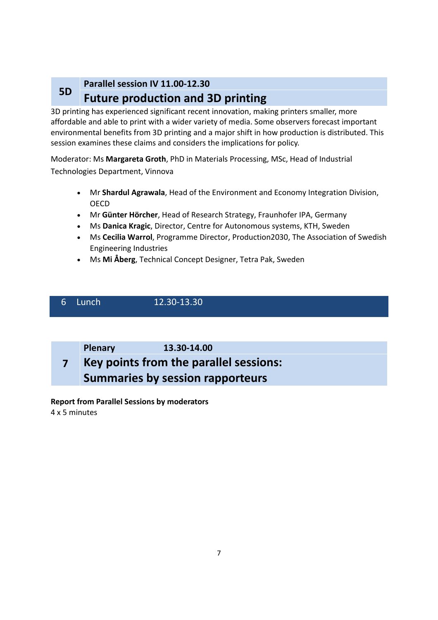#### **5D Parallel session IV 11.00‐12.30 Future production and 3D printing**

3D printing has experienced significant recent innovation, making printers smaller, more affordable and able to print with a wider variety of media. Some observers forecast important environmental benefits from 3D printing and a major shift in how production is distributed. This session examines these claims and considers the implications for policy.

Moderator: Ms **Margareta Groth**, PhD in Materials Processing, MSc, Head of Industrial Technologies Department, Vinnova

- Mr **Shardul Agrawala**, Head of the Environment and Economy Integration Division, OECD
- Mr **Günter Hörcher**, Head of Research Strategy, Fraunhofer IPA, Germany
- Ms **Danica Kragic**, Director, Centre for Autonomous systems, KTH, Sweden
- Ms **Cecilia Warrol**, Programme Director, Production2030, The Association of Swedish Engineering Industries
- Ms **Mi Åberg**, Technical Concept Designer, Tetra Pak, Sweden

### 6 Lunch 12.30‐13.30

**Plenary 13.30‐14.00**

#### **7 Key points from the parallel sessions: Summaries by session rapporteurs**

**Report from Parallel Sessions by moderators** 4 x 5 minutes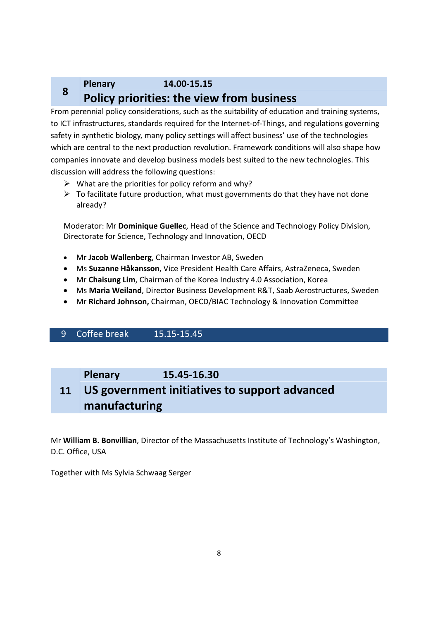### **<sup>8</sup> Plenary 14.00‐15.15 Policy priorities: the view from business**

From perennial policy considerations, such as the suitability of education and training systems, to ICT infrastructures, standards required for the Internet-of-Things, and regulations governing safety in synthetic biology, many policy settings will affect business' use of the technologies which are central to the next production revolution. Framework conditions will also shape how companies innovate and develop business models best suited to the new technologies. This discussion will address the following questions:

- $\triangleright$  What are the priorities for policy reform and why?
- $\triangleright$  To facilitate future production, what must governments do that they have not done already?

Moderator: Mr **Dominique Guellec**, Head of the Science and Technology Policy Division, Directorate for Science, Technology and Innovation, OECD

- Mr **Jacob Wallenberg**, Chairman Investor AB, Sweden
- Ms **Suzanne Håkansson**, Vice President Health Care Affairs, AstraZeneca, Sweden
- Mr **Chaisung Lim**, Chairman of the Korea Industry 4.0 Association, Korea
- Ms **Maria Weiland**, Director Business Development R&T, Saab Aerostructures, Sweden
- Mr **Richard Johnson,** Chairman, OECD/BIAC Technology & Innovation Committee

#### 9 Coffee break 15.15‐15.45

#### **Plenary 15.45‐16.30**

#### **11 US government initiatives to support advanced manufacturing**

Mr **William B. Bonvillian**, Director of the Massachusetts Institute of Technology's Washington, D.C. Office, USA

Together with Ms Sylvia Schwaag Serger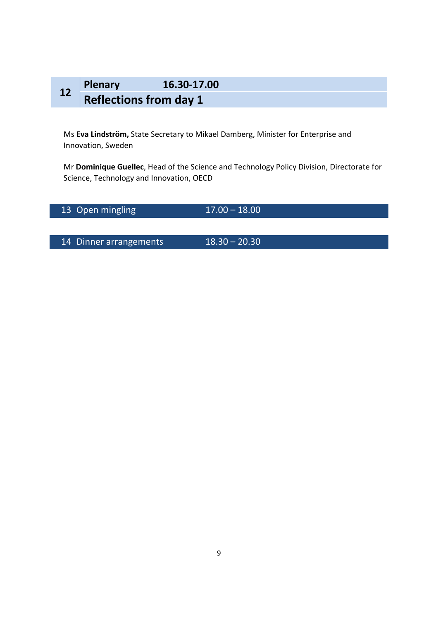### **<sup>12</sup> Plenary 16.30‐17.00 Reflections from day 1**

Ms **Eva Lindström,** State Secretary to Mikael Damberg, Minister for Enterprise and Innovation, Sweden

Mr **Dominique Guellec**, Head of the Science and Technology Policy Division, Directorate for Science, Technology and Innovation, OECD

13 Open mingling 17.00 – 18.00

14 Dinner arrangements 18.30 – 20.30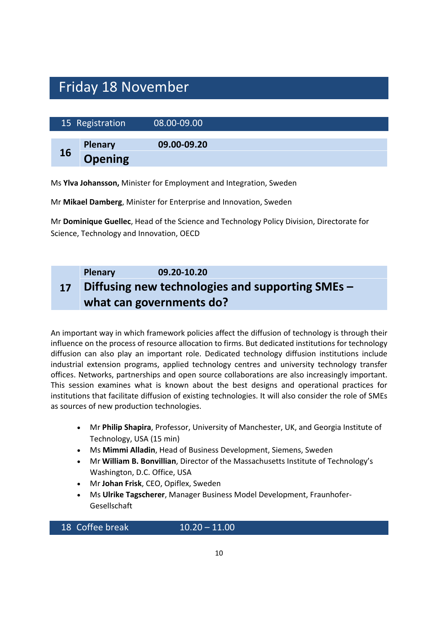### Friday 18 November

|    | 15 Registration | 08.00-09.00 |  |  |
|----|-----------------|-------------|--|--|
|    | <b>Plenary</b>  | 09.00-09.20 |  |  |
| 16 | <b>Opening</b>  |             |  |  |

Ms **Ylva Johansson,** Minister for Employment and Integration, Sweden

Mr **Mikael Damberg**, Minister for Enterprise and Innovation, Sweden

Mr **Dominique Guellec**, Head of the Science and Technology Policy Division, Directorate for Science, Technology and Innovation, OECD

#### **17 Plenary 09.20‐10.20 Diffusing new technologies and supporting SMEs – what can governments do?**

An important way in which framework policies affect the diffusion of technology is through their influence on the process of resource allocation to firms. But dedicated institutions for technology diffusion can also play an important role. Dedicated technology diffusion institutions include industrial extension programs, applied technology centres and university technology transfer offices. Networks, partnerships and open source collaborations are also increasingly important. This session examines what is known about the best designs and operational practices for institutions that facilitate diffusion of existing technologies. It will also consider the role of SMEs as sources of new production technologies.

- Mr **Philip Shapira**, Professor, University of Manchester, UK, and Georgia Institute of Technology, USA (15 min)
- Ms **Mimmi Alladin**, Head of Business Development, Siemens, Sweden
- Mr **William B. Bonvillian**, Director of the Massachusetts Institute of Technology's Washington, D.C. Office, USA
- Mr **Johan Frisk**, CEO, Opiflex, Sweden
- Ms **Ulrike Tagscherer**, Manager Business Model Development, Fraunhofer‐ Gesellschaft

18 Coffee break 10.20 – 11.00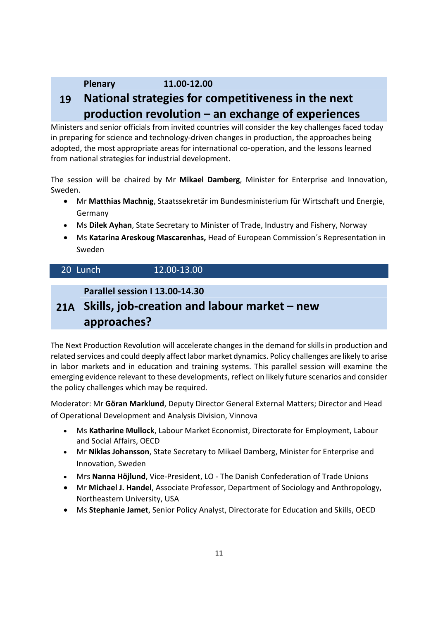#### **Plenary 11.00‐12.00**

#### **19 National strategies for competitiveness in the next production revolution – an exchange of experiences**

Ministers and senior officials from invited countries will consider the key challenges faced today in preparing for science and technology-driven changes in production, the approaches being adopted, the most appropriate areas for international co‐operation, and the lessons learned from national strategies for industrial development.

The session will be chaired by Mr **Mikael Damberg**, Minister for Enterprise and Innovation, Sweden.

- Mr **Matthias Machnig**, Staatssekretär im Bundesministerium für Wirtschaft und Energie, Germany
- Ms **Dilek Ayhan**, State Secretary to Minister of Trade, Industry and Fishery, Norway
- Ms **Katarina Areskoug Mascarenhas,** Head of European Commission´s Representation in Sweden

| 20 Lunch | 12.00-13.00 |
|----------|-------------|
|----------|-------------|

**Parallel session I 13.00‐14.30**

### **21A Skills, job‐creation and labour market – new approaches?**

The Next Production Revolution will accelerate changes in the demand for skills in production and related services and could deeply affect labor market dynamics. Policy challenges are likely to arise in labor markets and in education and training systems. This parallel session will examine the emerging evidence relevant to these developments, reflect on likely future scenarios and consider the policy challenges which may be required.

Moderator: Mr **Göran Marklund**, Deputy Director General External Matters; Director and Head of Operational Development and Analysis Division, Vinnova

- Ms **Katharine Mullock**, Labour Market Economist, Directorate for Employment, Labour and Social Affairs, OECD
- Mr **Niklas Johansson**, State Secretary to Mikael Damberg, Minister for Enterprise and Innovation, Sweden
- Mrs **Nanna Höjlund**, Vice‐President, LO ‐ The Danish Confederation of Trade Unions
- Mr **Michael J. Handel**, Associate Professor, Department of Sociology and Anthropology, Northeastern University, USA
- Ms **Stephanie Jamet**, Senior Policy Analyst, Directorate for Education and Skills, OECD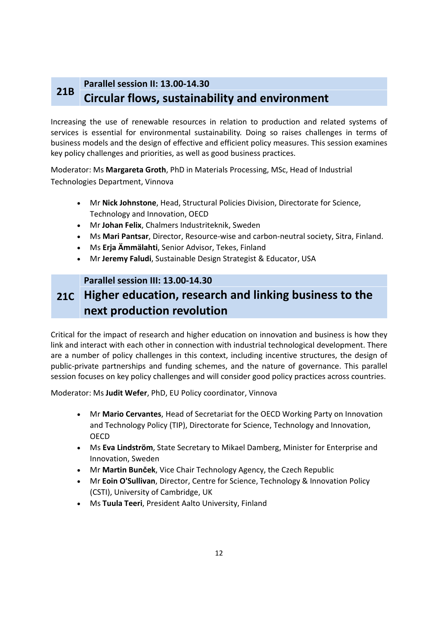#### **21B Parallel session II: 13.00‐14.30 Circular flows, sustainability and environment**

Increasing the use of renewable resources in relation to production and related systems of services is essential for environmental sustainability. Doing so raises challenges in terms of business models and the design of effective and efficient policy measures. This session examines key policy challenges and priorities, as well as good business practices.

Moderator: Ms **Margareta Groth**, PhD in Materials Processing, MSc, Head of Industrial Technologies Department, Vinnova

- Mr **Nick Johnstone**, Head, Structural Policies Division, Directorate for Science, Technology and Innovation, OECD
- Mr **Johan Felix**, Chalmers Industriteknik, Sweden
- Ms **Mari Pantsar**, Director, Resource‐wise and carbon‐neutral society, Sitra, Finland.
- Ms **Erja Ämmälahti**, Senior Advisor, Tekes, Finland
- Mr **Jeremy Faludi**, Sustainable Design Strategist & Educator, USA

#### **Parallel session III: 13.00‐14.30**

### **21C Higher education, research and linking business to the next production revolution**

Critical for the impact of research and higher education on innovation and business is how they link and interact with each other in connection with industrial technological development. There are a number of policy challenges in this context, including incentive structures, the design of public-private partnerships and funding schemes, and the nature of governance. This parallel session focuses on key policy challenges and will consider good policy practices across countries.

Moderator: Ms **Judit Wefer**, PhD, EU Policy coordinator, Vinnova

- Mr **Mario Cervantes**, Head of Secretariat for the OECD Working Party on Innovation and Technology Policy (TIP), Directorate for Science, Technology and Innovation, OECD
- Ms **Eva Lindström**, State Secretary to Mikael Damberg, Minister for Enterprise and Innovation, Sweden
- Mr **Martin Bunček**, Vice Chair Technology Agency, the Czech Republic
- Mr **Eoin O'Sullivan**, Director, Centre for Science, Technology & Innovation Policy (CSTI), University of Cambridge, UK
- Ms **Tuula Teeri**, President Aalto University, Finland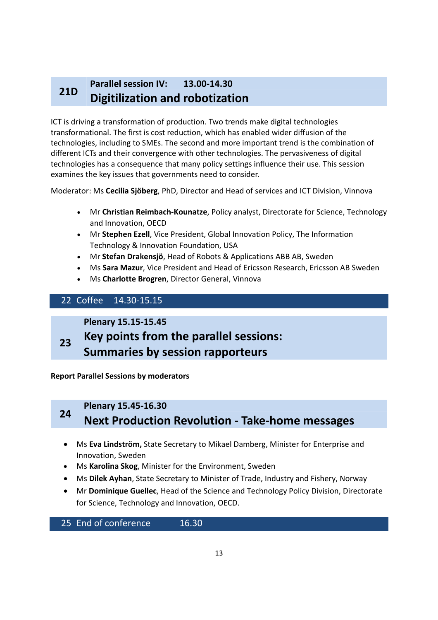#### **21D Parallel session IV: 13.00‐14.30 Digitilization and robotization**

ICT is driving a transformation of production. Two trends make digital technologies transformational. The first is cost reduction, which has enabled wider diffusion of the technologies, including to SMEs. The second and more important trend is the combination of different ICTs and their convergence with other technologies. The pervasiveness of digital technologies has a consequence that many policy settings influence their use. This session examines the key issues that governments need to consider.

Moderator: Ms **Cecilia Sjöberg**, PhD, Director and Head of services and ICT Division, Vinnova

- Mr **Christian Reimbach‐Kounatze**, Policy analyst, Directorate for Science, Technology and Innovation, OECD
- Mr **Stephen Ezell**, Vice President, Global Innovation Policy, The Information Technology & Innovation Foundation, USA
- Mr **Stefan Drakensjö**, Head of Robots & Applications ABB AB, Sweden
- Ms **Sara Mazur**, Vice President and Head of Ericsson Research, Ericsson AB Sweden
- Ms **Charlotte Brogren**, Director General, Vinnova

#### 22 Coffee 14.30‐15.15

**Plenary 15.15‐15.45**

**23 Key points from the parallel sessions: Summaries by session rapporteurs**

**Report Parallel Sessions by moderators**

### **<sup>24</sup> Plenary 15.45‐16.30 Next Production Revolution ‐ Take‐home messages**

- Ms **Eva Lindström,** State Secretary to Mikael Damberg, Minister for Enterprise and Innovation, Sweden
- Ms **Karolina Skog**, Minister for the Environment, Sweden
- Ms **Dilek Ayhan**, State Secretary to Minister of Trade, Industry and Fishery, Norway
- Mr **Dominique Guellec**, Head of the Science and Technology Policy Division, Directorate for Science, Technology and Innovation, OECD.

25 End of conference 16.30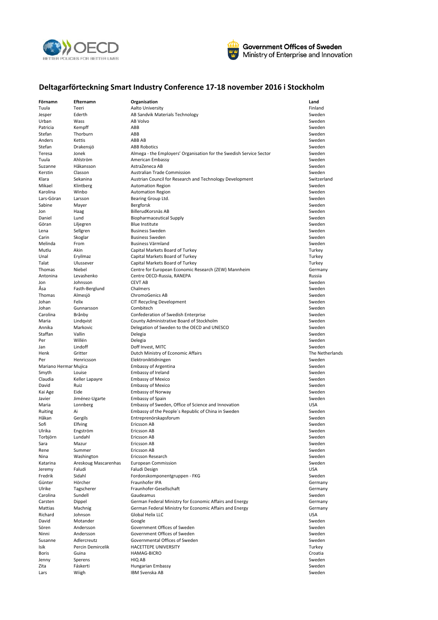



#### **Deltagarförteckning Smart Industry Conference 17‐18 november 2016 i Stockholm**

| Förnamn               | Efternamn            | Organisation                                                        | Land            |
|-----------------------|----------------------|---------------------------------------------------------------------|-----------------|
| Tuula                 | Teeri                | Aalto University                                                    | Finland         |
|                       |                      |                                                                     |                 |
| Jesper                | Ederth               | AB Sandvik Materials Technology                                     | Sweden          |
| Urban                 | Wass                 | AB Volvo                                                            | Sweden          |
| Patricia              | Kempff               | ABB                                                                 | Sweden          |
| Stefan                | Thorburn             | ABB                                                                 | Sweden          |
| Anders                | Kettis               | ABB AB                                                              | Sweden          |
| Stefan                | Drakensjö            | <b>ABB Robotics</b>                                                 | Sweden          |
| Teresa                | Jonek                | Almega - the Employers' Organisation for the Swedish Service Sector | Sweden          |
|                       |                      |                                                                     |                 |
| Tuula                 | Ahlström             | American Embassy                                                    | Sweden          |
| Suzanne               | Håkansson            | AstraZeneca AB                                                      | Sweden          |
| Kerstin               | Classon              | Australian Trade Commission                                         | Sweden          |
| Klara                 | Sekanina             | Austrian Council for Research and Technology Development            | Switzerland     |
| Mikael                | Klintberg            | <b>Automation Region</b>                                            | Sweden          |
| Karolina              | Winbo                | <b>Automation Region</b>                                            | Sweden          |
| Lars-Göran            | Larsson              | Bearing Group Ltd.                                                  | Sweden          |
|                       |                      |                                                                     |                 |
| Sabine                | Mayer                | Bergforsk                                                           | Sweden          |
| Jon                   | Haag                 | BillerudKorsnäs AB                                                  | Sweden          |
| Daniel                | Lund                 | <b>Biopharmaceutical Supply</b>                                     | Sweden          |
| Göran                 | Liljegren            | <b>Blue Institute</b>                                               | Sweden          |
| Lena                  | Sellgren             | <b>Business Sweden</b>                                              | Sweden          |
| Carin                 | Skoglar              | <b>Business Sweden</b>                                              | Sweden          |
| Melinda               | From                 |                                                                     |                 |
|                       |                      | Business Värmland                                                   | Sweden          |
| Mutlu                 | Akin                 | Capital Markets Board of Turkey                                     | Turkey          |
| Unal                  | Eryilmaz             | Capital Markets Board of Turkey                                     | Turkey          |
| Talat                 | Ulussever            | Capital Markets Board of Turkey                                     | Turkey          |
| Thomas                | Niebel               | Centre for European Economic Research (ZEW) Mannheim                | Germany         |
| Antonina              | Levashenko           | Centre OECD-Russia, RANEPA                                          | Russia          |
| Jon                   | Johnsson             | <b>CEVT AB</b>                                                      | Sweden          |
|                       |                      |                                                                     |                 |
| Åsa                   | Fasth-Berglund       | Chalmers                                                            | Sweden          |
| Thomas                | Almesjö              | <b>ChromoGenics AB</b>                                              | Sweden          |
| Johan                 | Felix                | <b>CIT Recycling Development</b>                                    | Sweden          |
| Johan                 | Gunnarsson           | Combitech                                                           | Sweden          |
| Carolina              | Brånby               | Confederation of Swedish Enterprise                                 | Sweden          |
| Maria                 |                      |                                                                     |                 |
|                       | Lindqvist            | County Administrative Board of Stockholm                            | Sweden          |
| Annika                | Markovic             | Delegation of Sweden to the OECD and UNESCO                         | Sweden          |
| Staffan               | Vallin               | Delegia                                                             | Sweden          |
| Per                   | Willén               | Delegia                                                             | Sweden          |
| Jan                   | Lindoff              | Doff Invest, MITC                                                   | Sweden          |
| Henk                  | Gritter              | Dutch Ministry of Economic Affairs                                  | The Netherlands |
| Per                   |                      |                                                                     | Sweden          |
|                       | Henricsson           | Elektroniktidningen                                                 |                 |
| Mariano Hermar Mujica |                      | <b>Embassy of Argentina</b>                                         | Sweden          |
| Smyth                 | Louise               | Embassy of Ireland                                                  | Sweden          |
| Claudia               | Keller Lapayre       | <b>Embassy of Mexico</b>                                            | Sweden          |
| David                 | Ruiz                 | <b>Embassy of Mexico</b>                                            | Sweden          |
| Kai Age               | Eide                 | <b>Embassy of Norway</b>                                            | Sweden          |
| Javier                | Jiménez-Ugarte       | <b>Embassy of Spain</b>                                             | Sweden          |
|                       |                      |                                                                     |                 |
| Maria                 | Lonnberg             | Embassy of Sweden, Office of Science and Innovation                 | <b>USA</b>      |
| Ruiting               | Ai                   | Embassy of the People's Republic of China in Sweden                 | Sweden          |
| Håkan                 | Gergils              | Entreprenörskapsforum                                               | Sweden          |
| Sofi                  | Elfving              | Ericsson AB                                                         | Sweden          |
| Ulrika                | Engström             | Ericsson AB                                                         | Sweden          |
| Torbjörn              | Lundahl              | Ericsson AB                                                         | Sweden          |
| Sara                  | Mazur                | Ericsson AB                                                         | Sweden          |
|                       |                      |                                                                     |                 |
| Rene                  | Summer               | Ericsson AB                                                         | Sweden          |
| Nina                  | Washington           | Ericsson Research                                                   | Sweden          |
| Katarina              | Areskoug Mascarenhas | <b>European Commission</b>                                          | Sweden          |
| Jeremy                | Faludi               | Faludi Design                                                       | <b>USA</b>      |
| Fredrik               | Sidahl               | Fordonskomponentgruppen - FKG                                       | Sweden          |
| Günter                | Hörcher              | Fraunhofer IPA                                                      | Germany         |
| Ulrike                | Tagscherer           | Fraunhofer-Gesellschaft                                             | Germany         |
| Carolina              |                      |                                                                     |                 |
|                       | Sundell              | Gaudeamus                                                           | Sweden          |
| Carsten               | Dippel               | German Federal Ministry for Economic Affairs and Energy             | Germany         |
| Mattias               | Machnig              | German Federal Ministry for Economic Affairs and Energy             | Germany         |
| Richard               | Johnson              | Global Helix LLC                                                    | <b>USA</b>      |
| David                 | Motander             | Google                                                              | Sweden          |
| Sören                 | Andersson            | Government Offices of Sweden                                        | Sweden          |
| Ninni                 | Andersson            | Government Offices of Sweden                                        | Sweden          |
|                       |                      |                                                                     |                 |
| Susanne               | Adlercreutz          | Governmental Offices of Sweden                                      | Sweden          |
| Isik                  | Percin Demircelik    | HACETTEPE UNIVERSITY                                                | Turkey          |
| Boris                 | Guina                | HAMAG-BICRO                                                         | Croatia         |
| Jenny                 | Sperens              | HIQ AB                                                              | Sweden          |
| Zita                  | Fáskerti             | Hungarian Embassy                                                   | Sweden          |
|                       |                      | <b>IBM Svenska AB</b>                                               |                 |
| Lars                  | Wiigh                |                                                                     | Sweden          |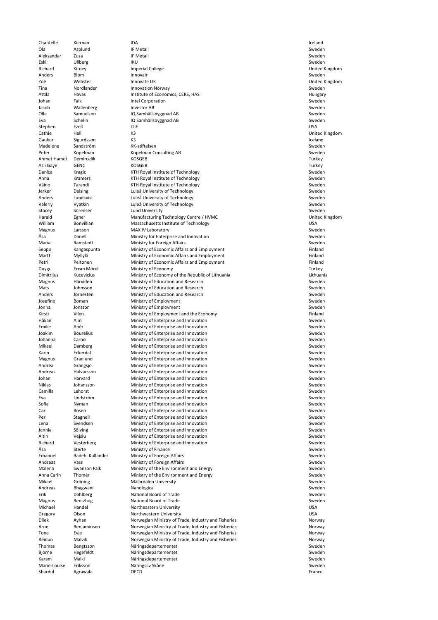Chantelle Kiernan IDA Ireland Ola Asplund IF Metall Sweden Aleksandar Zuza IF Metall Sweden Eskil Ullberg IKU Sweden Richard Kitney **Imperial College Imperial College College United Kingdom** United Kingdom Anders Blom Blom Innovair Sweden Blom Innovair Sweden Blom Innovalis Sweden Blom Innovalis Sweden Blom Innova Zoë Nebster Nebster Innovate UK versies as a versies were also were versies were versies were versies as well a Tina **Nordlander Innovation Norway Innovation Norway** Sweden Attila Havas Institute of Economics, CERS, HAS Hungary Johan Falk Intel Corporation<br>Jacob Wallenberg Investor AB Intel Corporation Sweden Jacob Wallenberg **Investor AB** Sweden **Investor AB** Sweden **Investor AB** Sweden Olle Samuelson IQ Samhällsbyggnad AB Sweden IQ Samhällsbyggnad AB Sweden<br>IQ Samhällsbyggnad AB Sweden Sweden Sweden Eva Schelin IQ Samhällsbyggnad AB Sweden Stephen Ezell ITIF Stephen Base of the USA Cathie Hall Hall K3 K3 United Kingdom Cathie Hall Kingdom Cathie Hall Kingdom Cathie Hall Kingdom Cathie Kingdom Gaukur Sigurdsson K3 Iceland Madelene Sandström KK‐stiftelsen Sweden Sweden Sweden Sweden Sweden Sweden Sweden Sweden Sweden Sweden Sweden Peter Kopelman Kopelman Consulting AB Sweden Ahmet Hamdi Demircelik KOSGEB Turkey KOSGEB Turkey Ahmet Hamdi Demircelik Turkey Asli Gaye GENÇ KOSGEB Turkey Danica Kragic Kragic KTH Royal Institute of Technology Channels Communications of Technology Anna Kramers KTH Royal Institute of Technology Sweden Väino Tarandi KTH Royal Institute of Technology Sweden Jerker **Same Delsing** Delsing Luleå University of Technology **Sweden** Sweden Anders Lundkvist Luleå University of Technology<br>
Valeriy Vyatkin Luleå University of Technology Charles Sweden Luleå University of Technology Stacey Sörensen Sörensen Lund University State State Sweden Sweden Sweden Sweden Sweden Sweden Sweden Sweden Sweden Harald Egner Manufacturing Technology Centre / HVMC United Kingdom Massachusetts Institute of Technology<br>
MAX IV Laboratory USA<br>
Sweden Magnus Larsson MAX IV Laboratory Åsa Danell Ministry for Enterprise and Innovation Sweden Maria **Ramstedt Ramstedt** Ministry for Foreign Affairs **Sweden** Sweden Seppo Kangaspunta Ministry of Economic Affairs and Employment Finland Finland Martti Myllylä Ministry of Economic Affairs and Employment<br>1991 Petri Peltonen Ministry of Economic Affairs and Employment Petri Peltonen Ministry of Economic Affairs and Employment Perroman Peltonen Finland<br>
Puygu Ercan Mörel Ministry of Economy Duygu Ercan Mörel Ministry of Economy<br>1. Dimitrijus Kucevicius Ministry of Economy of the Republic of Lithuania Kucevicius Ministry of Economy of the Republic of Lithuania<br>Härviden Ministry of Education and Research Magnus Härviden Ministry of Education and Research Sweden Mats Johnsson Ministry of Education and Research Sweden Anders Jörnesten Ministry of Education and Research Sweden Josefine Boman **Ministry of Employment** Sweden Sweden Jonna Jonsson Ministry of Employment Sweden Sweden Sweden Kirsti Vilen Vilen Ministry of Employment and the Economy<br>
Håkan Alm Ministry of Enterprise and Innovation<br>
Sweder Håkan Ministry of Enterprise and Innovation<br>1991 – Emilie – Anér Ministry of Enterprise and Innovation Sweden Sweden Sweden Anér **Ministry of Enterprise and Innovation**<br>Bourelius **Ministry of Enterprise and Innovation** Joakim Bourelius Ministry of Enterprise and Innovation Sweden Johanna Carnö Ministry of Enterprise and Innovation Sweden Mikael Damberg Ministry of Enterprise and Innovation Sweden Karin **Eckerdal Eckerdal** Ministry of Enterprise and Innovation **Sweden** Sweden Magnus Granlund Ministry of Enterprise and Innovation<br>
Andrëa Grängsjö Ministry of Enterprise and Innovation Sweden Sweden Ministry of Enterprise and Innovation Andreas Halvarsson Ministry of Enterprise and Innovation Ministry of Enterprise and Innovation Johan Harvard Ministry of Enterprise and Innovation<br>
Niklas Johansson Ministry of Enterprise and Innovation Sweden Sweden Ministry of Enterprise and Innovation Camilla Lehorst **Ministry of Enterprise and Innovation**<br>
Fya Lindström Ministry of Enterprise and Innovation Sweden Sweden Eva Lindström Ministry of Enterprise and Innovation Sweden Sofia Nyman Ninistry of Enterprise and Innovation Sweden Sweden Carl Sosen Carl Rosen Ministry of Enterprise and Innovation<br>
Per Stagnell Stagnell Ministry of Enterprise and Innovation Sweden Sweden Stagnell **Ministry of Enterprise and Innovation**<br> **Ministry of Enterprise and Innovation** Lena Svendsen Sweden Ministry of Enterprise and Innovation<br>
1999 - Jennie Sölving Sweden Ministry of Enterprise and Innovation Ministry of Enterprise and Innovation Altin Sang Vejsiu Communistry of Enterprise and Innovation<br>
Richard Vesterberg Ministry of Enterprise and Innovation Sweden Sweden **Ministry of Enterprise and Innovation Sweden** Sweden Sweden Åsa Sterte Ministry of Finance Sweden Emanuel Badehi Kullander Ministry of Foreign Affairs Number of Sweden Sweden Sweden Andreas Vass **Sweden** Ministry of Foreign Affairs **Sweden** Sweden Malena Swanson Falk Ministry of the Environment and Energy Sweden Sweden Anna Carin Thomér **Ministry of the Environment and Energy** Sweden Mikael Gröning Mälardalen University Sweden Sweden Sweden<br>1991 - Andreas Bhagwani Nanologica Nanologica Andreas Bhagwani Nanologica Sweden Erik Dahlberg National Board of Trade Sweden Magnus Rentzhog National Board of Trade Sweden Michael Handel Northeastern University **USA** Gregory Olson Northwestern University **Communist Communist Communist Communist Communist Communist Communist Communist Communist Communist Communist Communist Communist Communist Communist Communist Communist Communist Com** Dilek Ayhan Norwegian Ministry of Trade, Industry and Fisheries<br>19 Arne Benjaminsen Norwegian Ministry of Trade, Industry and Fisheries Arne Benjaminsen Norwegian Ministry of Trade, Industry and Fisheries Tone Evje Evie Norwegian Ministry of Trade, Industry and Fisheries<br>
Reidun Malvik Norwegian Ministry of Trade, Industry and Fisheries Norwegian Ministry of Trade, Industry and Fisheries Thomas Bengtsson Näringsdepartementet Sweden Björne Hegefeldt Näringsdepartementet Sweden Karam Malki Näringsdepartementet Sweden Marie-Louise Eriksson Näringsliv Skåne Shardul Agrawala OECD France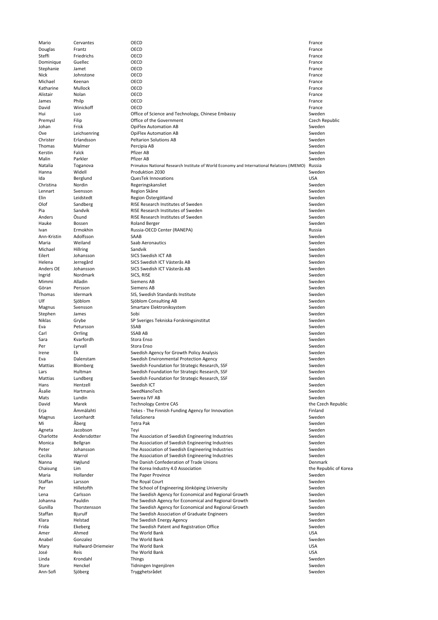Mario Cervantes **OECD France** CONSING **CONSING CONSING CONSING CONSING CONSING CONSINGUIST OF A CONSINGUIST OF A CONSINGUIST OF A CONSINGUIST OF A CONSINGUIST OF A CONSINGUIST OF A CONSINGUIST OF A CONSINGUIST OF A CONSI** Douglas Frantz **OECD France COECD France COECD France COECD France COECD France** Steffi Friedrichs OECD **France External Steffi France** Dominique Guellec **OECD COU COU COU COU COU COU COU COU COU COU COU COU COU COU COU** Stephanie Jamet OECD France COME COME CONTEXT AND THE CONTEXT OF THE CONTEXT OF THE CONTEXT OF THE CONTEXT OF THE CONTEXT OF THE CONTEXT OF THE CONTEXT OF THE CONTEXT OF THE CONTEXT OF THE CONTEXT OF THE CONTEXT OF THE CON Nick Johnstone OECD **France OECD** France *CON* Michael Keenan OECD **France** Katharine Mullock OECD **France** Alistair Nolan **OECD CONSISTENT OF ALISTAN CONSTRUCTER** James Philp **OECD CONSERVING CONSERVANT CONSERVANT CONSERVANT CONSERVANT CONSERVANT CONSERVANT CONSERVANT CONSERVANT CONSERVANT CONSERVANT CONSERVANT CONSERVANT CONSERVANT CONSERVANT CONSERVANT CONSERVANT CONSERVANT CONS** David Winickoff OECD **France** Hui Luo Luo Office of Science and Technology, Chinese Embassy<br>
Premysl Filip Czech Republic<br>
Premysl Filip Casch Republic Premysl Filip Filip Coffice of the Government Johan Frisk OpiFlex Automation AB Sweden Ove Leichsenring OpiFlex Automation AB Sweden Christer Erlandsson Peltarion Solutions AB Sweden Thomas Malmer Percipia AB Sweden Kerstin Falck Falck Pfizer AB Sweden Abertaine Based of the Sweden Sweden Sweden Sweden Sweden Sweden Sweden Sweden Malin Parkler Parkler Pfizer AB Sweden American Parkler AB Sweden American Sweden Parkler Parkler Parkler Parkler Natalia Toganova Primakov National Research Institute of World Economy and International Relations (IMEMO) Russia Produktion 2030 Ida Berglund QuesTek Innovations USA Christina Nordin Regeringskansliet Sweden and Den Sweden Sweden Sweden Sweden Sweden Sweden Sweden Sweden Sweden Lennart Svensson Skåne Sweden Skåne Sweden Skåne Sweden Sweden Sweden Sweden Sweden Sweden Sweden Sweden Sweden Elin Leidstedt Region Östergötland<br>
Sweden Sandberg RISE Research Institutes of Sweden Clof Sweden RISE Research Institutes of Sweden Pia Sandvik RISE Research Institutes of Sweden Sweden Sweden Sweden Sweden Sweden Sweden Sweden Sweden Sweden Sweden Sweden Sweden Sweden Sweden Sweden Sweden Sweden Sweden Sweden Sweden Sweden Sweden Sweden Sweden Sweden Anders Ösund **Exercits Constitutes of Sweden** Christian Constitutes of Sweden Sweden Sweden Sweden Sweden Sweden<br>
Roland Berger Sweden Sweden Sweden Sweden Sweden Sweden Sweden Sweden Sweden Sweden Sweden Sweden Sweden Swe Hauke Bossen Bossen Roland Berger Sweden and Berger Sweden and Sweden and Sweden Sweden Ivan Ermokhin Russia‐OECD Center (RANEPA) Russia Ann‐Kristin Adolfsson SAAB Sweden Maria Weiland Saab Aeronautics Sweden Michael Hillring Sandvik Sandvik Sandvik Sweden Sweden Sweden Sweden Sweden Sweden Sweden Sweden Sweden Sweden Eilert Johansson SICS Swedish ICT AB Sweden Helena Jerregård SICS Swedish ICT Västerås AB Sweden i Sweden Sweden i Sweden<br>Anders OE Johansson SICS Swedish ICT Västerås AB Anders OE Johansson SICS Swedish ICT Västerås AB Sweden Sweden Sweden Sweden Sweden Sweden Sweden Sweden Sweden Ingrid Nordmark SICS, RISE Sweden Mimmi Alladin Siemens AB Sweden Göran Persson Siemens AB Sweden Thomas Idermark SIS, Swedish Standards Institute Sweden Ulf Sjöblom Sjöblom Consulting AB Sweden Magnus Svensson Smartare Elektroniksystem Sweden Stephen James Sobi Sweden in Sobi Sweden in the Stephen Sweden in the Sweden Sweden in the Sweden Sweden in the Sweden Niklas Grybe SP Sveriges Tekniska Forskningsinstitut Sweden Sweden Sweden Sweden<br>Eva Petursson SSAB SSAB Eva Petursson SSAB Sweden Carl Carl Corrling Carl SSAB AB Sweden and the Sweden Sweden Sweden Sweden Sweden Sweden Sweden Sweden Sweden Sara Kvarfordh Stora Enso Sweden Per Survall Stora Enso Sweden (Stora Enso Sweden) and Sweden (Stora Enso Sweden (Stora Enso Sweden (Stora Enso Irene Ek Swedish Agency for Growth Policy Analysis Sweden Eva Dalenstam Swedish Environmental Protection Agency Sweden Swedish Foundation for Strategic Research, SSF Lars **Hultman** Swedish Foundation for Strategic Research, SSF Sweden Mattias Lundberg Swedish Foundation for Strategic Research, SSF<br>Hans Hentzell Swedish ICT Hans Hentzell Swedish ICT Sweden Åsalie Hartmanis SwedNanoTech Sweden Mats and Lundin Communication of Swerea IVF AB Sweden Communication of Sweden Communication of Sweden Communication of Sweden David Marek Technology Centre CAS the Czech Republic Case of the Czech Republic Erja Ämmälahti Tekes ‐ The Finnish Funding Agency for Innovation Finland Magnus Leonhardt TeliaSonera Sweden and the Sweden Sweden and Sweden and Sweden and Sweden and Sweden and Sweden Mi Åberg Tetra Pak Sweden Agneta Jacobson Teyi Teyi Sweden and the Sweden Sweden and the Sweden Sweden and the Sweden Sweden Sweden and Charlotte Andersdotter The Association of Swedish Engineering Industries Sweden Monica Bellgran The Association of Swedish Engineering Industries Sweden Peter Johansson The Association of Swedish Engineering Industries Sweden Cecilia Warrol Communism The Association of Swedish Engineering Industries Sweden Sweden Nanna Højlund The Danish Confederation of Trade Unions Denmark Chaisung Lim Lim The Korea Industry 4.0 Association<br>
Maria Hollander The Paper Province Change of Channel Communic Channel Association Maria Sweden Maria 1992 Hollander 1992 The Paper Province Sweden Sweden Sweden Sweden Sweden Sweden Sweden Sweden Sweden Sweden Staffan Larsson The Royal Court The Staffan Staffan Larsson Sweden<br>
The School of Engineering Jönköping University Sweden Sweden The School of Engineering Jönköping University Lena Carlsson The Swedish Agency for Economical and Regional Growth Sweden Johanna Pauldin The Swedish Agency for Economical and Regional Growth Sweden Gunilla Thorstensson The Swedish Agency for Economical and Regional Growth Sweden Staffan Bjurulf **Bilger Communist Communist Communist Communist Communist Communist Communist Communist Communist Communist Communist Communist Communist Communist Communist Communist Communist Communist Communist Communis** Klara 1992 Helstad The Swedish Energy Agency<br>
The Swedish Patent and Registration Office<br>
Sweden Sweden Sweden The Swedish Patent and Registration Office Amer Ahmed The World Bank (SA) and the South American Studies of the USA (SA) and the World Bank (SA) and the World Bank (SA) and the Southern Studies (SMP) and the USA (SMP) and the USA (SMP) and the USA (SMP) and the USA Anabel Gonzalez **The World Bank** Sweden Sweden Sweden Sweden Sweden Sweden Sweden Sweden Sweden Sweden Sweden Sweden Mary Hallward‐Driemeier The World Bank<br>
José Reis The World Bank USA Dosé Reis USA José Reis The World Bank USA Linda Krondahl Things Sweden Sture Henckel Tidningen Ingenjören Sweden Sweden Sweden Sweden Sweden Sweden Sweden Sweden Sweden Sweden Sweden Ann‐Sofi Sjöberg Trygghetsrådet Sweden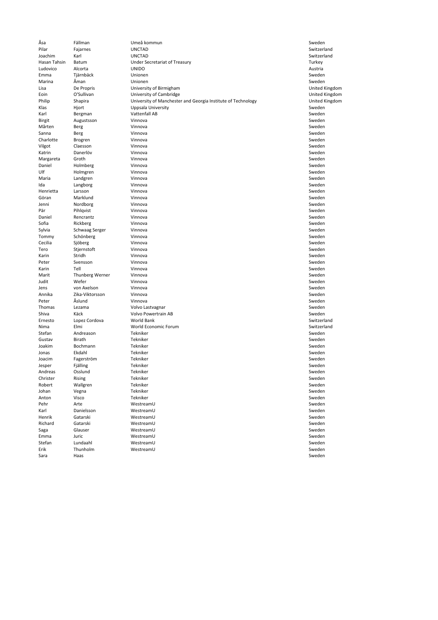Sara Haas Sweden

Saga Glauser Glauser WestreamU Sweden and Sweden and Sweden and Sweden and Sweden and Sweden and Sweden and Sweden Emma Juric WestreamU Sweden Stefan Lundaahl WestreamU Sweden Erik Thunholm WestreamU Sweden

Åsa Fällman Umeå kommun Sweden Pilar Fajarnes UNCTAD Switzerland Joachim Karl UNCTAD Switzerland Hasan Tahsin Batum **Turkey Communist Communist Communist** Under Secretariat of Treasury **Turkey Turkey Turkey**<br>Turkey Turkey Turkey UNIDO Ludovico Alcorta UNIDO Austria Emma Tjärnbäck Unionen Sweden Marina Åman Unionen Sweden Lisa De Propris University of Birmigham United Kingdom Eoin 19'Sullivan 19'Sullivan University of Cambridge 19's and Georgia Institute of Technology 19's United Kingdom<br>19's Philip 19's Anapira 19's University of Manchester and Georgia Institute of Technology 19's United Kingd Philip Shapira Shapira University of Manchester and Georgia Institute of Technology<br>Klas Hjort Uppsala University United Kingdom Sweden Uppsala University **Sweden**<br>
Vattenfall AB Sweden<br>
Vattenfall AB Sweden Karl Bergman Vattenfall AB Sweden and Dentall AB Sweden and Dental AB Sweden and Dental AB Sweden Birgit Augustsson Vinnova Sweden Mårten Berg Vinnova Sweden Sanna Berg Vinnova Sweden Charlotte Brogren Vinnova Sweden Vilgot Claesson Vinnova Sweden Katrin Danerlöv Vinnova Sweden Margareta Groth Vinnova Sweden Daniel Holmberg **Vinnova Vinnova** Sweden Sweden Sweden Sweden Sweden Sweden Sweden Sweden Sweden Sweden Sweden Sweden Sweden Sweden Sweden Sweden Sweden Sweden Sweden Sweden Sweden Sweden Sweden Sweden Sweden Sweden Swed Ulf Holmgren Vinnova Sweden Maria 1982 Landgren 1982 Vinnova 1982 Vinnova 1982 Sweden 1982 Vinnova 1982 Sweden 1982 Vinnova 1982 Vinnova 1 Ida Langborg Vinnova Sweden Henrietta Larsson Vinnova Sweden Göran Marklund Vinnova Sweden Jenni Nordborg Vinnova Sweden Pär Pihlqvist Vinnova Sweden States Vinnova Sweden States in Sweden Sweden Sweden Sweden Sweden Sweden States Sweden Daniel Rencrantz **Vinnova** Vinnova Sweden Sweden and Sweden Sweden Sweden Sweden Sweden Sweden Sweden Sweden Sweden Sofia Rickberg Vinnova Sweden Sylvia Schwaag Serger – Vinnova Sweden (Sylvia Sweden Sweden Sweden Sweden Sweden Sweden Sweden Sweden Sweden Sweden Sweden Sweden Sweden Sweden Sweden Sweden Sweden Sweden Sweden Sweden Sweden Sweden Sweden Sweden Sweden Tommy Schönberg Vinnova Sweden Cecilia Sjöberg Vinnova Sweden Subsetting og Sweden Sweden Sweden Sweden Sweden Sweden Sweden Sweden Sweden Sweden Tero Stjernstoft Vinnova Sweden Karin Stridh Stridh Vinnova Sweden Stridh Sweden Sweden Sweden Sweden Sweden Sweden Sweden Sweden Sweden Swede Peter Svensson Vinnova Sweden Karin Tell Vinnova Sweden Marit Thunberg Werner Vinnova<br>
Sweden Sweden Vinnova<br>
Sweden Sweden Sweden Sweden Sweden Sweden Sweden Sweden Sweden Sweden Sweden Sweden Sweden Sweden Sweden Swede Judit Wefer Vinnova Sweden Jens von Axelson Vinnova Sweden Annika Zika‐Viktorsson Vinnova Sweden Peter Åslund Vinnova Sweden Thomas Lezama Volvo Lastvagnar Sweden Shiva Käck Volvo Powertrain AB Sweden Ernesto Lopez Cordova World Bank Switzerland Nima Elmi Norld Economic Forum<br>Stefan Andreason Tekniker Stefan Switzerland Sweden Stefan Andreason Tekniker Sweden aan de Sweden aan de Sweden beg Gustav Birath Sweden Tekniker Sweden and Sweden Sweden Sweden Sweden Sweden Sweden Sweden Sweden Sweden Sweden Joakim Bochmann Tekniker Sweden aan de begin de steed aan de steed aan de sweden op de sweden Jonas Ekdahl Tekniker Sweden Joacim Fagerström – Tekniker Sweden i Sweden i Sweden i Sweden i Sweden i Sweden i Sweden i Sweden i Sweden i Sweden Jesper Fjälling – Tekniker Sweden i Sweden († 1918) Andreas Osslund Tekniker Sweden and the Sweden Sweden Sweden Sweden Sweden Sweden Sweden Sweden Sweden Sweden Christer Rising Rekniker Sweden (1999) and the Sweden Sweden (1999) and the Sweden Sweden (1999) and the Sweden Robert Wallgren Tekniker Sweden and the Sweden Sweden Sweden Sweden Sweden Sweden Sweden Sweden Sweden Sweden Johan Vegna Tekniker Sweden Anton Visco Tekniker Sweden and the Sweden Sweden Sweden and Sweden Sweden and Sweden Sweden Sweden and Sweden Pehr and Arte and Arte WestreamU Sweden and Arte and Arte and Arte and Arte and Arte and Arte and Arte and Arte Karl Danielsson WestreamU Sweden and Daniels and WestreamU Sweden and Daniels and Daniels and Daniels and Daniels and Daniels and Daniels and Daniels and Daniels and Daniels and Daniels and Daniels and Daniels and Daniels Henrik Gatarski WestreamU Sweden Richard Gatarski WestreamU Sweden and Sweden Sweden and Sweden and Sweden and Sweden and Sweden and Sweden and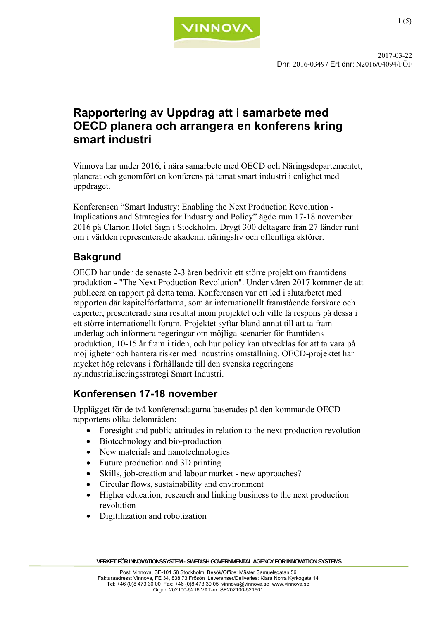

### **Rapportering av Uppdrag att i samarbete med OECD planera och arrangera en konferens kring smart industri**

Vinnova har under 2016, i nära samarbete med OECD och Näringsdepartementet, planerat och genomfört en konferens på temat smart industri i enlighet med uppdraget.

Konferensen "Smart Industry: Enabling the Next Production Revolution - Implications and Strategies for Industry and Policy" ägde rum 17-18 november 2016 på Clarion Hotel Sign i Stockholm. Drygt 300 deltagare från 27 länder runt om i världen representerade akademi, näringsliv och offentliga aktörer.

### **Bakgrund**

OECD har under de senaste 2-3 åren bedrivit ett större projekt om framtidens produktion - "The Next Production Revolution". Under våren 2017 kommer de att publicera en rapport på detta tema. Konferensen var ett led i slutarbetet med rapporten där kapitelförfattarna, som är internationellt framstående forskare och experter, presenterade sina resultat inom projektet och ville få respons på dessa i ett större internationellt forum. Projektet syftar bland annat till att ta fram underlag och informera regeringar om möjliga scenarier för framtidens produktion, 10-15 år fram i tiden, och hur policy kan utvecklas för att ta vara på möjligheter och hantera risker med industrins omställning. OECD-projektet har mycket hög relevans i förhållande till den svenska regeringens nyindustrialiseringsstrategi Smart Industri.

### **Konferensen 17-18 november**

Upplägget för de två konferensdagarna baserades på den kommande OECDrapportens olika delområden:

- Foresight and public attitudes in relation to the next production revolution
- Biotechnology and bio-production
- New materials and nanotechnologies
- Future production and 3D printing
- Skills, job-creation and labour market new approaches?
- Circular flows, sustainability and environment
- Higher education, research and linking business to the next production revolution
- Digitilization and robotization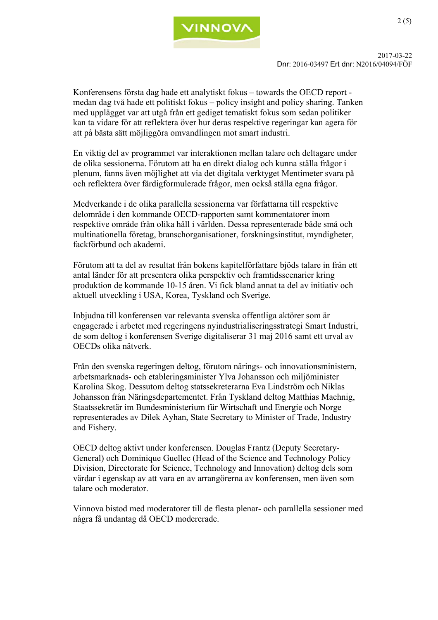

 2017-03-22 Dnr: 2016-03497 Ert dnr: N2016/04094/FÖF

> Konferensens första dag hade ett analytiskt fokus – towards the OECD report medan dag två hade ett politiskt fokus – policy insight and policy sharing. Tanken med upplägget var att utgå från ett gediget tematiskt fokus som sedan politiker kan ta vidare för att reflektera över hur deras respektive regeringar kan agera för att på bästa sätt möjliggöra omvandlingen mot smart industri.

En viktig del av programmet var interaktionen mellan talare och deltagare under de olika sessionerna. Förutom att ha en direkt dialog och kunna ställa frågor i plenum, fanns även möjlighet att via det digitala verktyget Mentimeter svara på och reflektera över färdigformulerade frågor, men också ställa egna frågor.

Medverkande i de olika parallella sessionerna var författarna till respektive delområde i den kommande OECD-rapporten samt kommentatorer inom respektive område från olika håll i världen. Dessa representerade både små och multinationella företag, branschorganisationer, forskningsinstitut, myndigheter, fackförbund och akademi.

Förutom att ta del av resultat från bokens kapitelförfattare bjöds talare in från ett antal länder för att presentera olika perspektiv och framtidsscenarier kring produktion de kommande 10-15 åren. Vi fick bland annat ta del av initiativ och aktuell utveckling i USA, Korea, Tyskland och Sverige.

Inbjudna till konferensen var relevanta svenska offentliga aktörer som är engagerade i arbetet med regeringens nyindustrialiseringsstrategi Smart Industri, de som deltog i konferensen Sverige digitaliserar 31 maj 2016 samt ett urval av OECDs olika nätverk.

Från den svenska regeringen deltog, förutom närings- och innovationsministern, arbetsmarknads- och etableringsminister Ylva Johansson och miljöminister Karolina Skog. Dessutom deltog statssekreterarna Eva Lindström och Niklas Johansson från Näringsdepartementet. Från Tyskland deltog Matthias Machnig, Staatssekretär im Bundesministerium für Wirtschaft und Energie och Norge representerades av Dilek Ayhan, State Secretary to Minister of Trade, Industry and Fishery.

OECD deltog aktivt under konferensen. Douglas Frantz (Deputy Secretary-General) och Dominique Guellec (Head of the Science and Technology Policy Division, Directorate for Science, Technology and Innovation) deltog dels som värdar i egenskap av att vara en av arrangörerna av konferensen, men även som talare och moderator.

Vinnova bistod med moderatorer till de flesta plenar- och parallella sessioner med några få undantag då OECD modererade.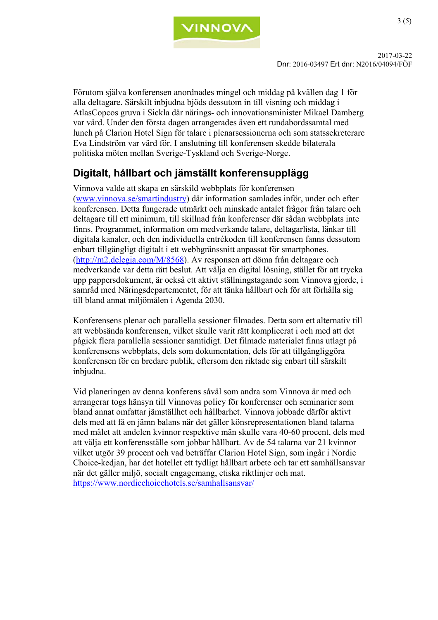

 2017-03-22 Dnr: 2016-03497 Ert dnr: N2016/04094/FÖF

> Förutom själva konferensen anordnades mingel och middag på kvällen dag 1 för alla deltagare. Särskilt inbjudna bjöds dessutom in till visning och middag i AtlasCopcos gruva i Sickla där närings- och innovationsminister Mikael Damberg var värd. Under den första dagen arrangerades även ett rundabordssamtal med lunch på Clarion Hotel Sign för talare i plenarsessionerna och som statssekreterare Eva Lindström var värd för. I anslutning till konferensen skedde bilaterala politiska möten mellan Sverige-Tyskland och Sverige-Norge.

### **Digitalt, hållbart och jämställt konferensupplägg**

Vinnova valde att skapa en särskild webbplats för konferensen (www.vinnova.se/smartindustry) där information samlades inför, under och efter konferensen. Detta fungerade utmärkt och minskade antalet frågor från talare och deltagare till ett minimum, till skillnad från konferenser där sådan webbplats inte finns. Programmet, information om medverkande talare, deltagarlista, länkar till digitala kanaler, och den individuella entrékoden till konferensen fanns dessutom enbart tillgängligt digitalt i ett webbgränssnitt anpassat för smartphones. (http://m2.delegia.com/M/8568). Av responsen att döma från deltagare och medverkande var detta rätt beslut. Att välja en digital lösning, stället för att trycka upp pappersdokument, är också ett aktivt ställningstagande som Vinnova gjorde, i samråd med Näringsdepartementet, för att tänka hållbart och för att förhålla sig till bland annat miljömålen i Agenda 2030.

Konferensens plenar och parallella sessioner filmades. Detta som ett alternativ till att webbsända konferensen, vilket skulle varit rätt komplicerat i och med att det pågick flera parallella sessioner samtidigt. Det filmade materialet finns utlagt på konferensens webbplats, dels som dokumentation, dels för att tillgängliggöra konferensen för en bredare publik, eftersom den riktade sig enbart till särskilt inbjudna.

Vid planeringen av denna konferens såväl som andra som Vinnova är med och arrangerar togs hänsyn till Vinnovas policy för konferenser och seminarier som bland annat omfattar jämställhet och hållbarhet. Vinnova jobbade därför aktivt dels med att få en jämn balans när det gäller könsrepresentationen bland talarna med målet att andelen kvinnor respektive män skulle vara 40-60 procent, dels med att välja ett konferensställe som jobbar hållbart. Av de 54 talarna var 21 kvinnor vilket utgör 39 procent och vad beträffar Clarion Hotel Sign, som ingår i Nordic Choice-kedjan, har det hotellet ett tydligt hållbart arbete och tar ett samhällsansvar när det gäller miljö, socialt engagemang, etiska riktlinjer och mat. https://www.nordicchoicehotels.se/samhallsansvar/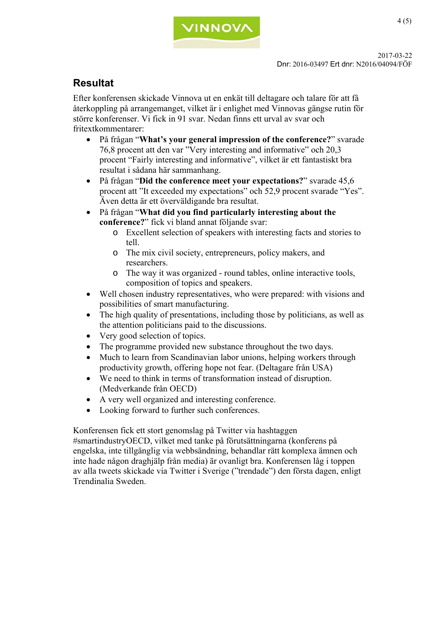

### **Resultat**

Efter konferensen skickade Vinnova ut en enkät till deltagare och talare för att få återkoppling på arrangemanget, vilket är i enlighet med Vinnovas gängse rutin för större konferenser. Vi fick in 91 svar. Nedan finns ett urval av svar och fritextkommentarer:

- På frågan "**What's your general impression of the conference?**" svarade 76,8 procent att den var "Very interesting and informative" och 20,3 procent "Fairly interesting and informative", vilket är ett fantastiskt bra resultat i sådana här sammanhang.
- På frågan "**Did the conference meet your expectations?**" svarade 45,6 procent att "It exceeded my expectations" och 52,9 procent svarade "Yes". Även detta är ett överväldigande bra resultat.
- På frågan "**What did you find particularly interesting about the conference?**" fick vi bland annat följande svar:
	- o Excellent selection of speakers with interesting facts and stories to tell.
	- o The mix civil society, entrepreneurs, policy makers, and researchers.
	- o The way it was organized round tables, online interactive tools, composition of topics and speakers.
- Well chosen industry representatives, who were prepared: with visions and possibilities of smart manufacturing.
- The high quality of presentations, including those by politicians, as well as the attention politicians paid to the discussions.
- Very good selection of topics.
- The programme provided new substance throughout the two days.
- Much to learn from Scandinavian labor unions, helping workers through productivity growth, offering hope not fear. (Deltagare från USA)
- We need to think in terms of transformation instead of disruption. (Medverkande från OECD)
- A very well organized and interesting conference.
- Looking forward to further such conferences.

Konferensen fick ett stort genomslag på Twitter via hashtaggen #smartindustryOECD, vilket med tanke på förutsättningarna (konferens på engelska, inte tillgänglig via webbsändning, behandlar rätt komplexa ämnen och inte hade någon draghjälp från media) är ovanligt bra. Konferensen låg i toppen av alla tweets skickade via Twitter i Sverige ("trendade") den första dagen, enligt Trendinalia Sweden.